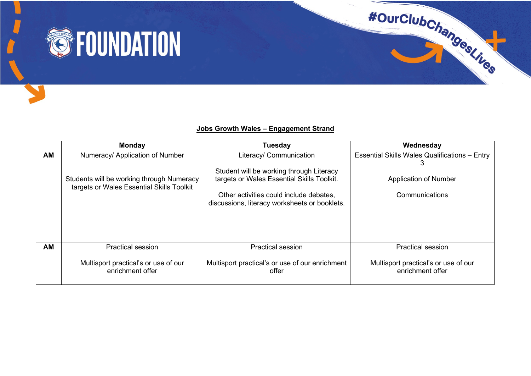

## **Jobs Growth Wales – Engagement Strand**

|           | <b>Monday</b>                                                                          | <b>Tuesday</b>                                                                           | Wednesday                                                |
|-----------|----------------------------------------------------------------------------------------|------------------------------------------------------------------------------------------|----------------------------------------------------------|
| <b>AM</b> | Numeracy/ Application of Number                                                        | Literacy/ Communication                                                                  | <b>Essential Skills Wales Qualifications - Entry</b>     |
|           | Students will be working through Numeracy<br>targets or Wales Essential Skills Toolkit | Student will be working through Literacy<br>targets or Wales Essential Skills Toolkit.   | <b>Application of Number</b>                             |
|           |                                                                                        | Other activities could include debates.<br>discussions, literacy worksheets or booklets. | Communications                                           |
|           |                                                                                        |                                                                                          |                                                          |
| AM        | <b>Practical session</b>                                                               | <b>Practical session</b>                                                                 | Practical session                                        |
|           | Multisport practical's or use of our<br>enrichment offer                               | Multisport practical's or use of our enrichment<br>offer                                 | Multisport practical's or use of our<br>enrichment offer |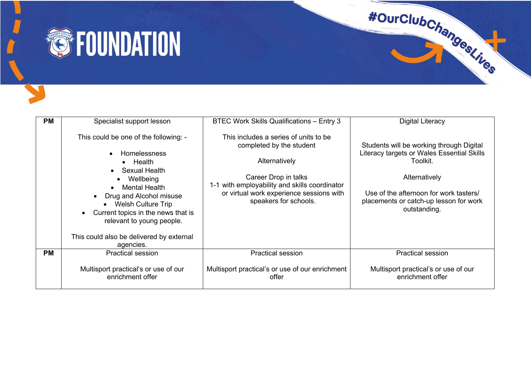

| <b>PM</b> | Specialist support lesson                                                                                                                                                                                                                                                                                                                                     | <b>BTEC Work Skills Qualifications - Entry 3</b>                                                                                                                                                                                 | Digital Literacy                                                                                                                                                                                                        |
|-----------|---------------------------------------------------------------------------------------------------------------------------------------------------------------------------------------------------------------------------------------------------------------------------------------------------------------------------------------------------------------|----------------------------------------------------------------------------------------------------------------------------------------------------------------------------------------------------------------------------------|-------------------------------------------------------------------------------------------------------------------------------------------------------------------------------------------------------------------------|
|           | This could be one of the following: -<br>Homelessness<br>Health<br>$\bullet$<br>Sexual Health<br>$\bullet$<br>Wellbeing<br><b>Mental Health</b><br>$\bullet$<br>Drug and Alcohol misuse<br><b>Welsh Culture Trip</b><br>$\bullet$<br>Current topics in the news that is<br>relevant to young people.<br>This could also be delivered by external<br>agencies. | This includes a series of units to be<br>completed by the student<br>Alternatively<br>Career Drop in talks<br>1-1 with employability and skills coordinator<br>or virtual work experience sessions with<br>speakers for schools. | Students will be working through Digital<br>Literacy targets or Wales Essential Skills<br>Toolkit.<br>Alternatively<br>Use of the afternoon for work tasters/<br>placements or catch-up lesson for work<br>outstanding. |
| <b>PM</b> | <b>Practical session</b>                                                                                                                                                                                                                                                                                                                                      | <b>Practical session</b>                                                                                                                                                                                                         | <b>Practical session</b>                                                                                                                                                                                                |
|           | Multisport practical's or use of our<br>enrichment offer                                                                                                                                                                                                                                                                                                      | Multisport practical's or use of our enrichment<br>offer                                                                                                                                                                         | Multisport practical's or use of our<br>enrichment offer                                                                                                                                                                |

#OurClubChangestings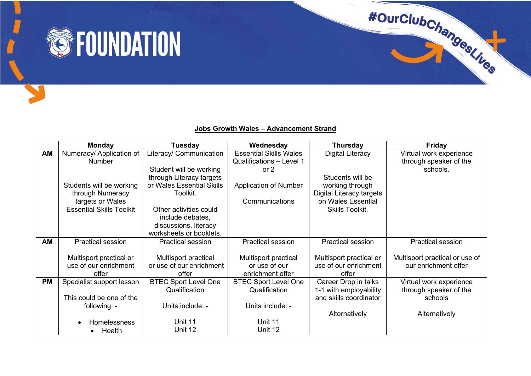

## **Jobs Growth Wales – Advancement Strand**

|           | <b>Monday</b>                   | Tuesday                     | Wednesday                     | <b>Thursday</b>                 | Friday                         |
|-----------|---------------------------------|-----------------------------|-------------------------------|---------------------------------|--------------------------------|
| AM        | Numeracy/ Application of        | Literacy/ Communication     | <b>Essential Skills Wales</b> | Digital Literacy                | Virtual work experience        |
|           | <b>Number</b>                   |                             | Qualifications - Level 1      |                                 | through speaker of the         |
|           |                                 | Student will be working     | or $2$                        |                                 | schools.                       |
|           |                                 | through Literacy targets    |                               | Students will be                |                                |
|           | Students will be working        | or Wales Essential Skills   | <b>Application of Number</b>  | working through                 |                                |
|           | through Numeracy                | Toolkit.                    |                               | <b>Digital Literacy targets</b> |                                |
|           | targets or Wales                |                             | Communications                | on Wales Essential              |                                |
|           | <b>Essential Skills Toolkit</b> | Other activities could      |                               | <b>Skills Toolkit.</b>          |                                |
|           |                                 | include debates,            |                               |                                 |                                |
|           |                                 | discussions, literacy       |                               |                                 |                                |
|           |                                 | worksheets or booklets.     |                               |                                 |                                |
| AM        | <b>Practical session</b>        | <b>Practical session</b>    | <b>Practical session</b>      | <b>Practical session</b>        | <b>Practical session</b>       |
|           |                                 |                             |                               |                                 |                                |
|           | Multisport practical or         | Multisport practical        | Multisport practical          | Multisport practical or         | Multisport practical or use of |
|           | use of our enrichment           | or use of our enrichment    | or use of our                 | use of our enrichment           | our enrichment offer           |
|           | offer                           | offer                       | enrichment offer              | offer                           |                                |
| <b>PM</b> | Specialist support lesson       | <b>BTEC Sport Level One</b> | <b>BTEC Sport Level One</b>   | Career Drop in talks            | Virtual work experience        |
|           |                                 | Qualification               | Qualification                 | 1-1 with employability          | through speaker of the         |
|           | This could be one of the        |                             |                               | and skills coordinator          | schools                        |
|           | following: -                    | Units include: -            | Units include: -              |                                 |                                |
|           |                                 |                             |                               | Alternatively                   | Alternatively                  |
|           | <b>Homelessness</b>             | Unit 11                     | Unit 11                       |                                 |                                |
|           | Health<br>$\bullet$             | Unit 12                     | Unit 12                       |                                 |                                |